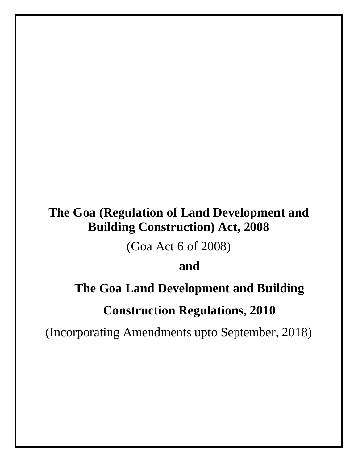# **The Goa (Regulation of Land Development and Building Construction) Act, 2008**

(Goa Act 6 of 2008)

**and**

# **The Goa Land Development and Building**

# **Construction Regulations, 2010**

(Incorporating Amendments upto September, 2018)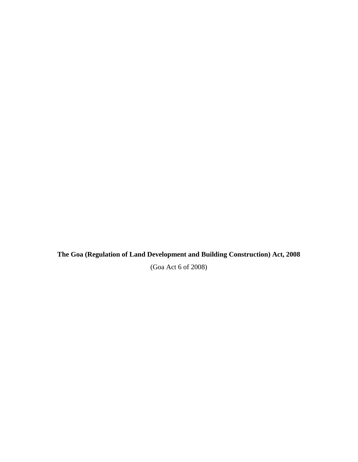**The Goa (Regulation of Land Development and Building Construction) Act, 2008**

(Goa Act 6 of 2008)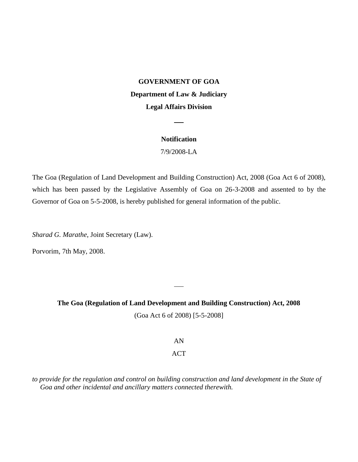### **GOVERNMENT OF GOA**

## **Department of Law & Judiciary**

### **Legal Affairs Division**

#### **Notification**

7/9/2008-LA

The Goa (Regulation of Land Development and Building Construction) Act, 2008 (Goa Act 6 of 2008), which has been passed by the Legislative Assembly of Goa on 26-3-2008 and assented to by the Governor of Goa on 5-5-2008, is hereby published for general information of the public.

*Sharad G. Marathe*, Joint Secretary (Law).

Porvorim, 7th May, 2008.

**The Goa (Regulation of Land Development and Building Construction) Act, 2008** (Goa Act 6 of 2008) [5-5-2008]

AN

### ACT

*to provide for the regulation and control on building construction and land development in the State of Goa and other incidental and ancillary matters connected therewith.*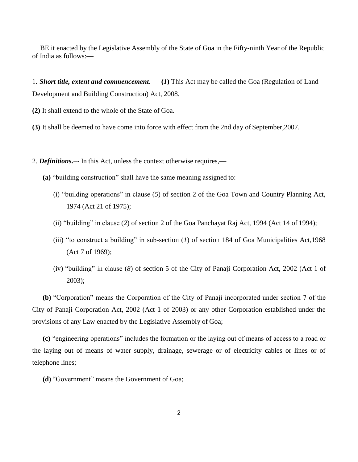BE it enacted by the Legislative Assembly of the State of Goa in the Fifty-ninth Year of the Republic of India as follows:—

1. *Short title, extent and commencement.* — **(***1***)** This Act may be called the Goa (Regulation of Land Development and Building Construction) Act, 2008.

**(2)** It shall extend to the whole of the State of Goa.

**(3)** It shall be deemed to have come into force with effect from the 2nd day of September,2007.

2. *Definitions.*—*-* In this Act, unless the context otherwise requires,—

- **(a)** "building construction" shall have the same meaning assigned to:—
	- (i) "building operations" in clause (*5*) of section 2 of the Goa Town and Country Planning Act, 1974 (Act 21 of 1975);
	- (ii) "building" in clause (*2*) of section 2 of the Goa Panchayat Raj Act, 1994 (Act 14 of 1994);
	- (iii) "to construct a building" in sub-section (*1*) of section 184 of Goa Municipalities Act,1968 (Act 7 of 1969);
	- (iv) "building" in clause (*8*) of section 5 of the City of Panaji Corporation Act, 2002 (Act 1 of 2003);

**(b)** "Corporation" means the Corporation of the City of Panaji incorporated under section 7 of the City of Panaji Corporation Act, 2002 (Act 1 of 2003) or any other Corporation established under the provisions of any Law enacted by the Legislative Assembly of Goa;

**(c)** "engineering operations" includes the formation or the laying out of means of access to a road or the laying out of means of water supply, drainage, sewerage or of electricity cables or lines or of telephone lines;

**(d)** "Government" means the Government of Goa;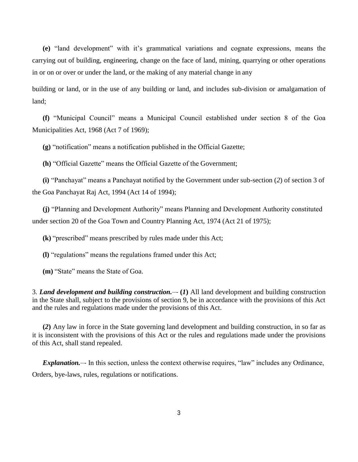**(e)** "land development" with it's grammatical variations and cognate expressions, means the carrying out of building, engineering, change on the face of land, mining, quarrying or other operations in or on or over or under the land, or the making of any material change in any

building or land, or in the use of any building or land, and includes sub-division or amalgamation of land;

**(f)** "Municipal Council" means a Municipal Council established under section 8 of the Goa Municipalities Act, 1968 (Act 7 of 1969);

**(g)** "notification" means a notification published in the Official Gazette;

**(h)** "Official Gazette" means the Official Gazette of the Government;

**(i)** "Panchayat" means a Panchayat notified by the Government under sub-section (*2*) of section 3 of the Goa Panchayat Raj Act, 1994 (Act 14 of 1994);

**(j)** "Planning and Development Authority" means Planning and Development Authority constituted under section 20 of the Goa Town and Country Planning Act, 1974 (Act 21 of 1975);

**(k)** "prescribed" means prescribed by rules made under this Act;

**(l)** "regulations" means the regulations framed under this Act;

**(m)** "State" means the State of Goa.

3. *Land development and building construction.*—*-* **(***1***)** All land development and building construction in the State shall, subject to the provisions of section 9, be in accordance with the provisions of this Act and the rules and regulations made under the provisions of this Act.

**(***2***)** Any law in force in the State governing land development and building construction, in so far as it is inconsistent with the provisions of this Act or the rules and regulations made under the provisions of this Act, shall stand repealed.

*Explanation.*—*-* In this section, unless the context otherwise requires, "law" includes any Ordinance, Orders, bye-laws, rules, regulations or notifications.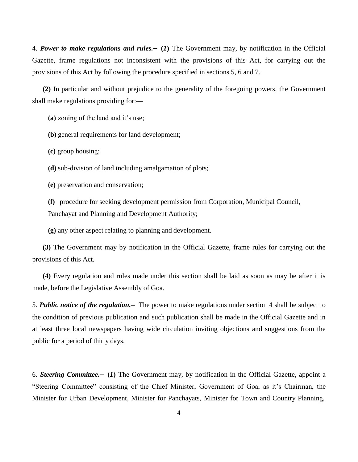4. *Power to make regulations and rules.***— (***1***)** The Government may, by notification in the Official Gazette, frame regulations not inconsistent with the provisions of this Act, for carrying out the provisions of this Act by following the procedure specified in sections 5, 6 and 7.

**(2)** In particular and without prejudice to the generality of the foregoing powers, the Government shall make regulations providing for:—

**(a)** zoning of the land and it's use;

**(b)** general requirements for land development;

**(c)** group housing;

**(d)** sub-division of land including amalgamation of plots;

**(e)** preservation and conservation;

**(f)** procedure for seeking development permission from Corporation, Municipal Council, Panchayat and Planning and Development Authority;

**(g)** any other aspect relating to planning and development.

**(3)** The Government may by notification in the Official Gazette, frame rules for carrying out the provisions of this Act.

**(4)** Every regulation and rules made under this section shall be laid as soon as may be after it is made, before the Legislative Assembly of Goa.

5. *Public notice of the regulation.***—** The power to make regulations under section 4 shall be subject to the condition of previous publication and such publication shall be made in the Official Gazette and in at least three local newspapers having wide circulation inviting objections and suggestions from the public for a period of thirty days.

6. *Steering Committee.***— (***1***)** The Government may, by notification in the Official Gazette, appoint a "Steering Committee" consisting of the Chief Minister, Government of Goa, as it's Chairman, the Minister for Urban Development, Minister for Panchayats, Minister for Town and Country Planning,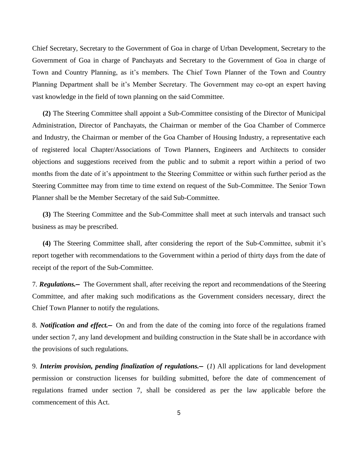Chief Secretary, Secretary to the Government of Goa in charge of Urban Development, Secretary to the Government of Goa in charge of Panchayats and Secretary to the Government of Goa in charge of Town and Country Planning, as it's members. The Chief Town Planner of the Town and Country Planning Department shall be it's Member Secretary. The Government may co-opt an expert having vast knowledge in the field of town planning on the said Committee.

**(2)** The Steering Committee shall appoint a Sub-Committee consisting of the Director of Municipal Administration, Director of Panchayats, the Chairman or member of the Goa Chamber of Commerce and Industry, the Chairman or member of the Goa Chamber of Housing Industry, a representative each of registered local Chapter/Associations of Town Planners, Engineers and Architects to consider objections and suggestions received from the public and to submit a report within a period of two months from the date of it's appointment to the Steering Committee or within such further period as the Steering Committee may from time to time extend on request of the Sub-Committee. The Senior Town Planner shall be the Member Secretary of the said Sub-Committee.

**(3)** The Steering Committee and the Sub-Committee shall meet at such intervals and transact such business as may be prescribed.

**(4)** The Steering Committee shall, after considering the report of the Sub-Committee, submit it's report together with recommendations to the Government within a period of thirty days from the date of receipt of the report of the Sub-Committee.

7. *Regulations.***—** The Government shall, after receiving the report and recommendations of the Steering Committee, and after making such modifications as the Government considers necessary, direct the Chief Town Planner to notify the regulations.

8. *Notification and effect.***—** On and from the date of the coming into force of the regulations framed under section 7, any land development and building construction in the State shall be in accordance with the provisions of such regulations.

9. *Interim provision, pending finalization of regulations.***—** (*1*) All applications for land development permission or construction licenses for building submitted, before the date of commencement of regulations framed under section 7, shall be considered as per the law applicable before the commencement of this Act.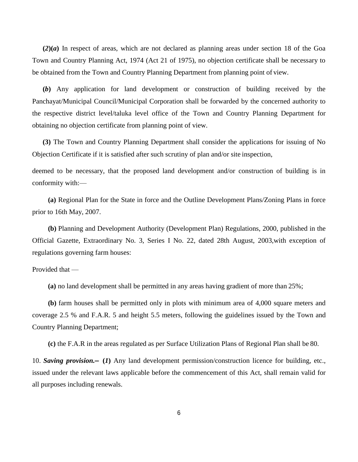**(***2***)(***a***)** In respect of areas, which are not declared as planning areas under section 18 of the Goa Town and Country Planning Act, 1974 (Act 21 of 1975), no objection certificate shall be necessary to be obtained from the Town and Country Planning Department from planning point of view.

**(***b***)** Any application for land development or construction of building received by the Panchayat/Municipal Council/Municipal Corporation shall be forwarded by the concerned authority to the respective district level/taluka level office of the Town and Country Planning Department for obtaining no objection certificate from planning point of view.

**(3)** The Town and Country Planning Department shall consider the applications for issuing of No Objection Certificate if it is satisfied after such scrutiny of plan and/or site inspection,

deemed to be necessary, that the proposed land development and/or construction of building is in conformity with:—

**(a)** Regional Plan for the State in force and the Outline Development Plans/Zoning Plans in force prior to 16th May, 2007.

**(b)** Planning and Development Authority (Development Plan) Regulations, 2000, published in the Official Gazette, Extraordinary No. 3, Series I No. 22, dated 28th August, 2003,with exception of regulations governing farm houses:

Provided that —

**(a)** no land development shall be permitted in any areas having gradient of more than 25%;

**(b)** farm houses shall be permitted only in plots with minimum area of 4,000 square meters and coverage 2.5 % and F.A.R. 5 and height 5.5 meters, following the guidelines issued by the Town and Country Planning Department;

**(c)** the F.A.R in the areas regulated as per Surface Utilization Plans of Regional Plan shall be 80.

10. *Saving provision.***— (***1***)** Any land development permission/construction licence for building, etc., issued under the relevant laws applicable before the commencement of this Act, shall remain valid for all purposes including renewals.